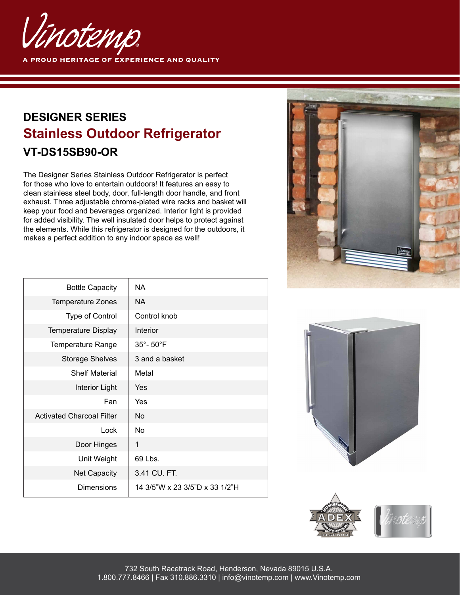

## **DESIGNER SERIES Stainless Outdoor Refrigerator VT-DS15SB90-OR**

The Designer Series Stainless Outdoor Refrigerator is perfect for those who love to entertain outdoors! It features an easy to clean stainless steel body, door, full-length door handle, and front exhaust. Three adjustable chrome-plated wire racks and basket will keep your food and beverages organized. Interior light is provided for added visibility. The well insulated door helps to protect against the elements. While this refrigerator is designed for the outdoors, it makes a perfect addition to any indoor space as well!



| <b>Bottle Capacity</b>           | NA.                            |
|----------------------------------|--------------------------------|
| <b>Temperature Zones</b>         | NA.                            |
| <b>Type of Control</b>           | Control knob                   |
| <b>Temperature Display</b>       | <b>Interior</b>                |
| <b>Temperature Range</b>         | 35°-50°F                       |
| <b>Storage Shelves</b>           | 3 and a basket                 |
| <b>Shelf Material</b>            | Metal                          |
| Interior Light                   | Yes                            |
| Fan                              | Yes                            |
| <b>Activated Charcoal Filter</b> | No.                            |
| Lock                             | No                             |
| Door Hinges                      | 1                              |
| Unit Weight                      | 69 Lbs.                        |
| <b>Net Capacity</b>              | 3.41 CU. FT.                   |
| Dimensions                       | 14 3/5"W x 23 3/5"D x 33 1/2"H |
|                                  |                                |